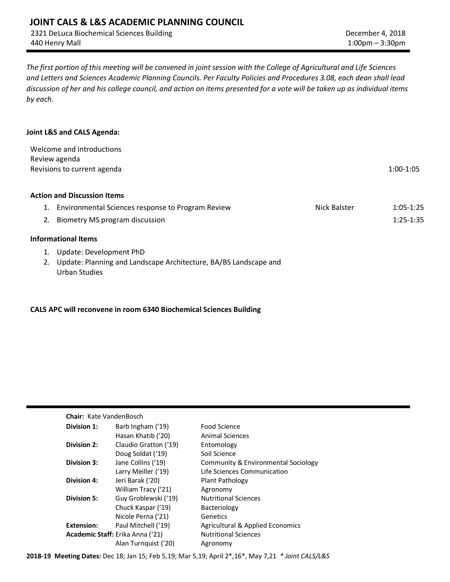2321 DeLuca Biochemical Sciences Building 440 Henry Mall

*The first portion of this meeting will be convened in joint session with the College of Agricultural and Life Sciences and Letters and Sciences Academic Planning Councils. Per Faculty Policies and Procedures 3.08, each dean shall lead discussion of her and his college council, and action on items presented for a vote will be taken up as individual items by each.*

#### **Joint L&S and CALS Agenda:**

| Welcome and introductions<br>Review agenda<br>Revisions to current agenda |                                                                  |              |             |  |
|---------------------------------------------------------------------------|------------------------------------------------------------------|--------------|-------------|--|
|                                                                           | <b>Action and Discussion Items</b>                               |              |             |  |
| 1.                                                                        | Environmental Sciences response to Program Review                | Nick Balster | $1:05-1:25$ |  |
| 2.                                                                        | Biometry MS program discussion                                   |              | $1:25-1:35$ |  |
|                                                                           | <b>Informational Items</b>                                       |              |             |  |
| 1.                                                                        | Update: Development PhD                                          |              |             |  |
|                                                                           | Update: Planning and Landscape Architecture, BA/BS Landscape and |              |             |  |
|                                                                           | Urban Studies                                                    |              |             |  |

#### **CALS APC will reconvene in room 6340 Biochemical Sciences Building**

#### **Chair:** Kate VandenBosch

| Division 1:        | Barb Ingham ('19)                       | Food Science                                |
|--------------------|-----------------------------------------|---------------------------------------------|
|                    | Hasan Khatib ('20)                      | <b>Animal Sciences</b>                      |
| Division 2:        | Claudio Gratton ('19)                   | Entomology                                  |
|                    | Doug Soldat ('19)                       | Soil Science                                |
| Division 3:        | Jane Collins ('19)                      | Community & Environmental Sociology         |
|                    | Larry Meiller ('19)                     | Life Sciences Communication                 |
| Division 4:        | Jeri Barak ('20)                        | Plant Pathology                             |
|                    | William Tracy ('21)                     | Agronomy                                    |
| <b>Division 5:</b> | Guy Groblewski ('19)                    | <b>Nutritional Sciences</b>                 |
|                    | Chuck Kaspar ('19)                      | Bacteriology                                |
|                    | Nicole Perna ('21)                      | Genetics                                    |
| <b>Extension:</b>  | Paul Mitchell ('19)                     | <b>Agricultural &amp; Applied Economics</b> |
|                    | <b>Academic Staff:</b> Erika Anna ('21) | <b>Nutritional Sciences</b>                 |
|                    | Alan Turnguist ('20)                    | Agronomy                                    |

**2018-19 Meeting Dates:** Dec 18; Jan 15; Feb 5,19; Mar 5,19; April 2\*,16\*, May 7,21 *\* Joint CALS/L&S*